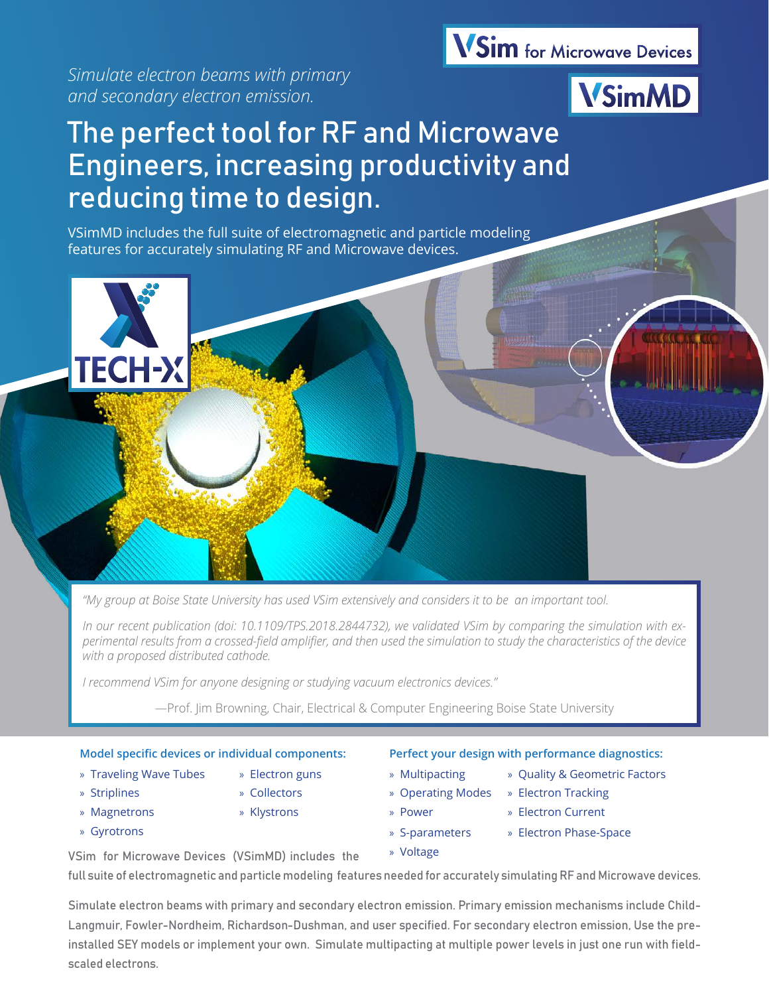*Simulate electron beams with primary and secondary electron emission.* 

## **VSim** for Microwave Devices



# The perfect tool for RF and Microwave Engineers, increasing productivity and reducing time to design.

VSimMD includes the full suite of electromagnetic and particle modeling features for accurately simulating RF and Microwave devices.



*"My group at Boise State University has used VSim extensively and considers it to be an important tool.* 

*In our recent publication (doi: 10.1109/TPS.2018.2844732), we validated VSim by comparing the simulation with experimental results from a crossed-field amplifier, and then used the simulation to study the characteristics of the device with a proposed distributed cathode.* 

*I recommend VSim for anyone designing or studying vacuum electronics devices."*

—Prof. Jim Browning, Chair, Electrical & Computer Engineering Boise State University

#### **Model specific devices or individual components:**

- » Traveling Wave Tubes » Electron guns
- » Striplines » Collectors
- » Magnetrons » Klystrons
- » Gyrotrons
- 
- 
- -
- **Perfect your design with performance diagnostics:**
- » Multipacting » Quality & Geometric Factors » Operating Modes » Electron Tracking
- -

» Voltage

- » Power » Electron Current
- 
- 
- » S-parameters » Electron Phase-Space

VSim for Microwave Devices (VSimMD) includes the

full suite of electromagnetic and particle modeling features needed for accurately simulating RF and Microwave devices.

Simulate electron beams with primary and secondary electron emission. Primary emission mechanisms include Child-Langmuir, Fowler-Nordheim, Richardson-Dushman, and user specified. For secondary electron emission, Use the preinstalled SEY models or implement your own. Simulate multipacting at multiple power levels in just one run with fieldscaled electrons.